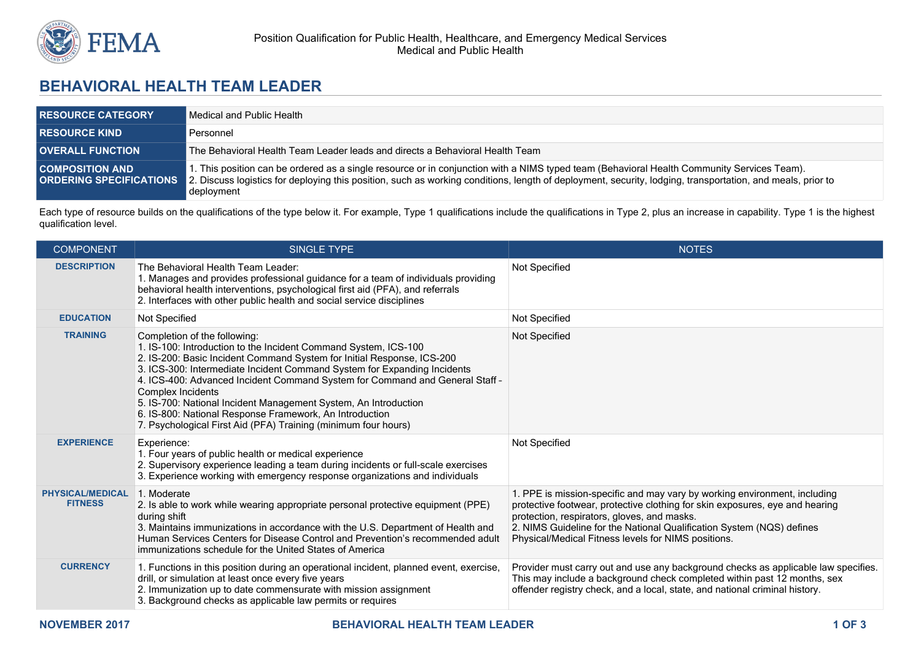

## **BEHAVIORAL HEALTH TEAM LEADER**

| <b>RESOURCE CATEGORY</b> | Medical and Public Health                                                                                                                                                                                                                                                                                                                             |  |
|--------------------------|-------------------------------------------------------------------------------------------------------------------------------------------------------------------------------------------------------------------------------------------------------------------------------------------------------------------------------------------------------|--|
| <b>RESOURCE KIND</b>     | Personnel                                                                                                                                                                                                                                                                                                                                             |  |
| <b>OVERALL FUNCTION</b>  | The Behavioral Health Team Leader leads and directs a Behavioral Health Team                                                                                                                                                                                                                                                                          |  |
| <b>COMPOSITION AND</b>   | l. This position can be ordered as a single resource or in conjunction with a NIMS typed team (Behavioral Health Community Services Team).<br><b>ORDERING SPECIFICATIONS</b> 2. Discuss logistics for deploying this position, such as working conditions, length of deployment, security, lodging, transportation, and meals, prior to<br>deployment |  |

Each type of resource builds on the qualifications of the type below it. For example, Type 1 qualifications include the qualifications in Type 2, plus an increase in capability. Type 1 is the highest qualification level.

| <b>COMPONENT</b>                          | <b>SINGLE TYPE</b>                                                                                                                                                                                                                                                                                                                                                                                                                                                                                                                                         | NOTES <sup>'</sup>                                                                                                                                                                                                                                                                                                                       |
|-------------------------------------------|------------------------------------------------------------------------------------------------------------------------------------------------------------------------------------------------------------------------------------------------------------------------------------------------------------------------------------------------------------------------------------------------------------------------------------------------------------------------------------------------------------------------------------------------------------|------------------------------------------------------------------------------------------------------------------------------------------------------------------------------------------------------------------------------------------------------------------------------------------------------------------------------------------|
| <b>DESCRIPTION</b>                        | The Behavioral Health Team Leader:<br>1. Manages and provides professional guidance for a team of individuals providing<br>behavioral health interventions, psychological first aid (PFA), and referrals<br>2. Interfaces with other public health and social service disciplines                                                                                                                                                                                                                                                                          | Not Specified                                                                                                                                                                                                                                                                                                                            |
| <b>EDUCATION</b>                          | Not Specified                                                                                                                                                                                                                                                                                                                                                                                                                                                                                                                                              | Not Specified                                                                                                                                                                                                                                                                                                                            |
| <b>TRAINING</b>                           | Completion of the following:<br>1. IS-100: Introduction to the Incident Command System, ICS-100<br>2. IS-200: Basic Incident Command System for Initial Response, ICS-200<br>3. ICS-300: Intermediate Incident Command System for Expanding Incidents<br>4. ICS-400: Advanced Incident Command System for Command and General Staff -<br>Complex Incidents<br>5. IS-700: National Incident Management System, An Introduction<br>6. IS-800: National Response Framework, An Introduction<br>7. Psychological First Aid (PFA) Training (minimum four hours) | Not Specified                                                                                                                                                                                                                                                                                                                            |
| <b>EXPERIENCE</b>                         | Experience:<br>1. Four years of public health or medical experience<br>2. Supervisory experience leading a team during incidents or full-scale exercises<br>3. Experience working with emergency response organizations and individuals                                                                                                                                                                                                                                                                                                                    | Not Specified                                                                                                                                                                                                                                                                                                                            |
| <b>PHYSICAL/MEDICAL</b><br><b>FITNESS</b> | 1. Moderate<br>2. Is able to work while wearing appropriate personal protective equipment (PPE)<br>during shift<br>3. Maintains immunizations in accordance with the U.S. Department of Health and<br>Human Services Centers for Disease Control and Prevention's recommended adult<br>immunizations schedule for the United States of America                                                                                                                                                                                                             | 1. PPE is mission-specific and may vary by working environment, including<br>protective footwear, protective clothing for skin exposures, eye and hearing<br>protection, respirators, gloves, and masks.<br>2. NIMS Guideline for the National Qualification System (NQS) defines<br>Physical/Medical Fitness levels for NIMS positions. |
| <b>CURRENCY</b>                           | 1. Functions in this position during an operational incident, planned event, exercise,<br>drill, or simulation at least once every five years<br>2. Immunization up to date commensurate with mission assignment<br>3. Background checks as applicable law permits or requires                                                                                                                                                                                                                                                                             | Provider must carry out and use any background checks as applicable law specifies.<br>This may include a background check completed within past 12 months, sex<br>offender registry check, and a local, state, and national criminal history.                                                                                            |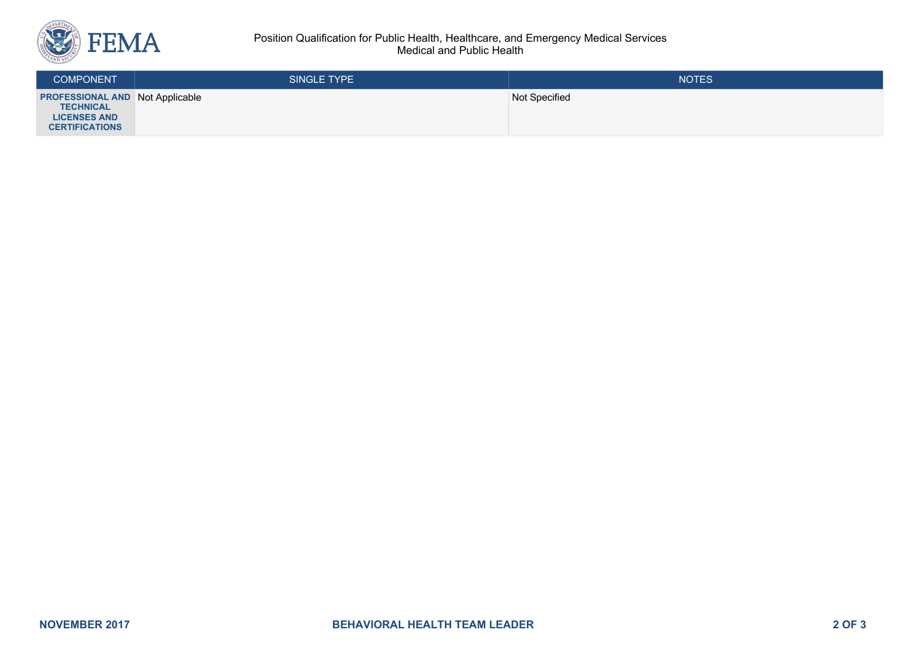

## Position Qualification for Public Health, Healthcare, and Emergency Medical Services Medical and Public Health

| <b>COMPONENT</b>                                                                                           | SINGLE TYPE | <b>NOTES</b>  |
|------------------------------------------------------------------------------------------------------------|-------------|---------------|
| <b>PROFESSIONAL AND Not Applicable</b><br><b>TECHNICAL</b><br><b>LICENSES AND</b><br><b>CERTIFICATIONS</b> |             | Not Specified |